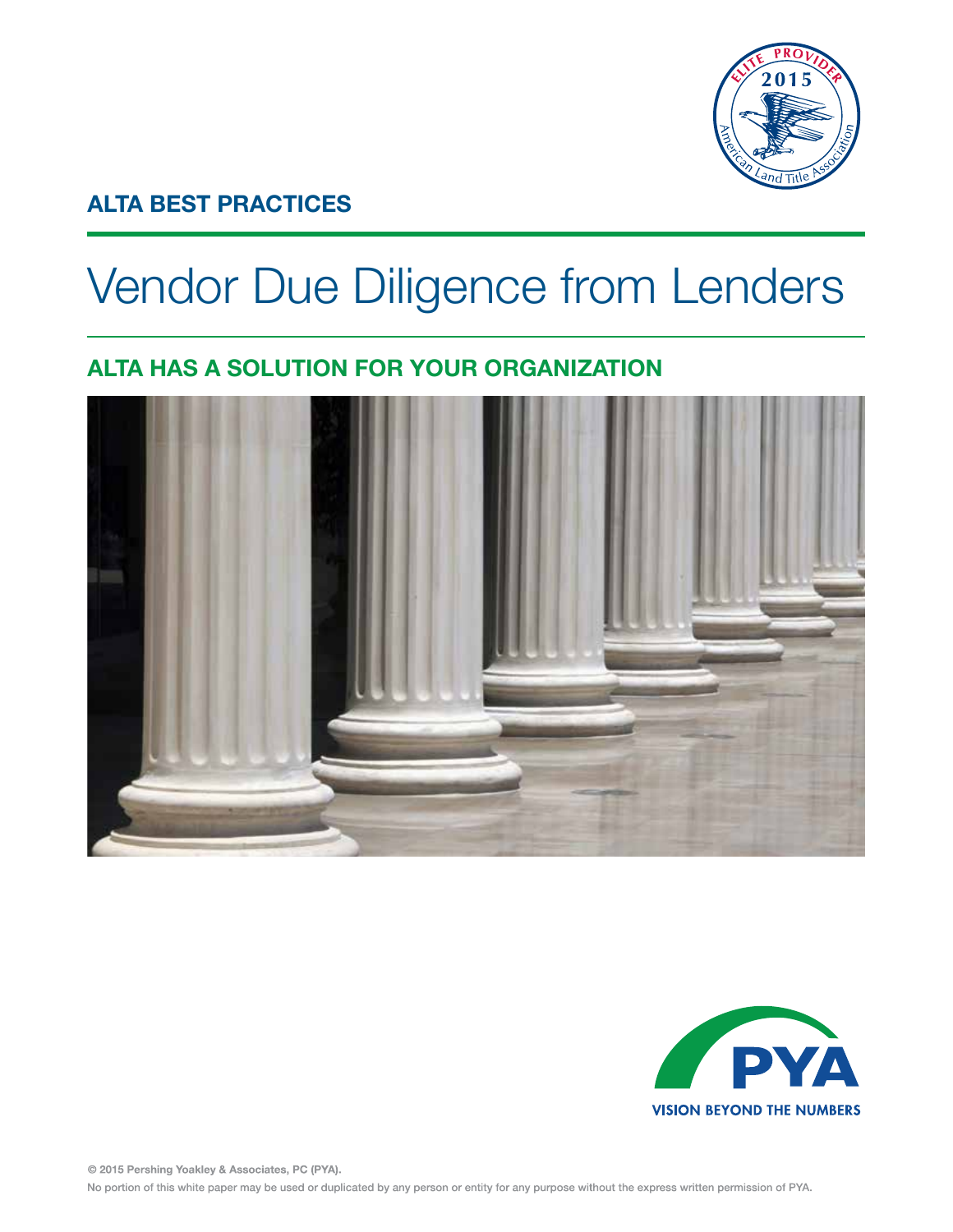

# **ALTA BEST PRACTICES**

# Vendor Due Diligence from Lenders

# **ALTA HAS A SOLUTION FOR YOUR ORGANIZATION**





© 2015 Pershing Yoakley & Associates, PC (PYA). No portion of this white paper may be used or duplicated by any person or entity for any purpose without the express written permission of PYA.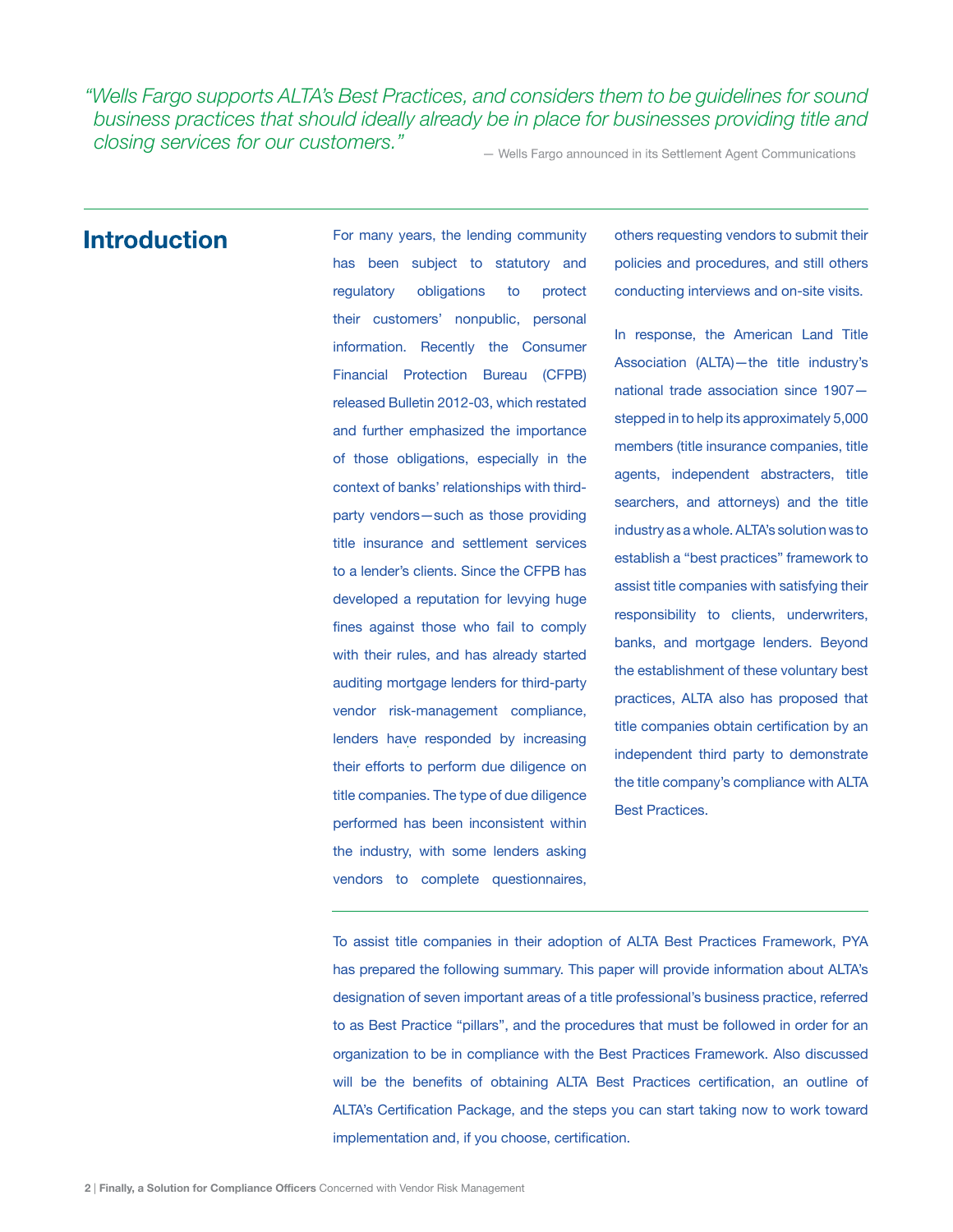*"Wells Fargo supports ALTA's Best Practices, and considers them to be guidelines for sound business practices that should ideally already be in place for businesses providing title and closing services for our customers."*

- Wells Fargo announced in its Settlement Agent Communications

### **Introduction**

For many years, the lending community has been subject to statutory and regulatory obligations to protect their customers' nonpublic, personal information. Recently the Consumer Financial Protection Bureau (CFPB) released Bulletin 2012-03, which restated and further emphasized the importance of those obligations, especially in the context of banks' relationships with thirdparty vendors—such as those providing title insurance and settlement services to a lender's clients. Since the CFPB has developed a reputation for levying huge fines against those who fail to comply with their rules, and has already started auditing mortgage lenders for third-party vendor risk-management compliance, lenders have responded by increasing their efforts to perform due diligence on title companies. The type of due diligence performed has been inconsistent within the industry, with some lenders asking vendors to complete questionnaires,

others requesting vendors to submit their policies and procedures, and still others conducting interviews and on-site visits.

In response, the American Land Title Association (ALTA)—the title industry's national trade association since 1907 stepped in to help its approximately 5,000 members (title insurance companies, title agents, independent abstracters, title searchers, and attorneys) and the title industry as a whole. ALTA's solution was to establish a "best practices" framework to assist title companies with satisfying their responsibility to clients, underwriters, banks, and mortgage lenders. Beyond the establishment of these voluntary best practices, ALTA also has proposed that title companies obtain certification by an independent third party to demonstrate the title company's compliance with ALTA Best Practices.

To assist title companies in their adoption of ALTA Best Practices Framework, PYA has prepared the following summary. This paper will provide information about ALTA's designation of seven important areas of a title professional's business practice, referred to as Best Practice "pillars", and the procedures that must be followed in order for an organization to be in compliance with the Best Practices Framework. Also discussed will be the benefits of obtaining ALTA Best Practices certification, an outline of ALTA's Certification Package, and the steps you can start taking now to work toward implementation and, if you choose, certification.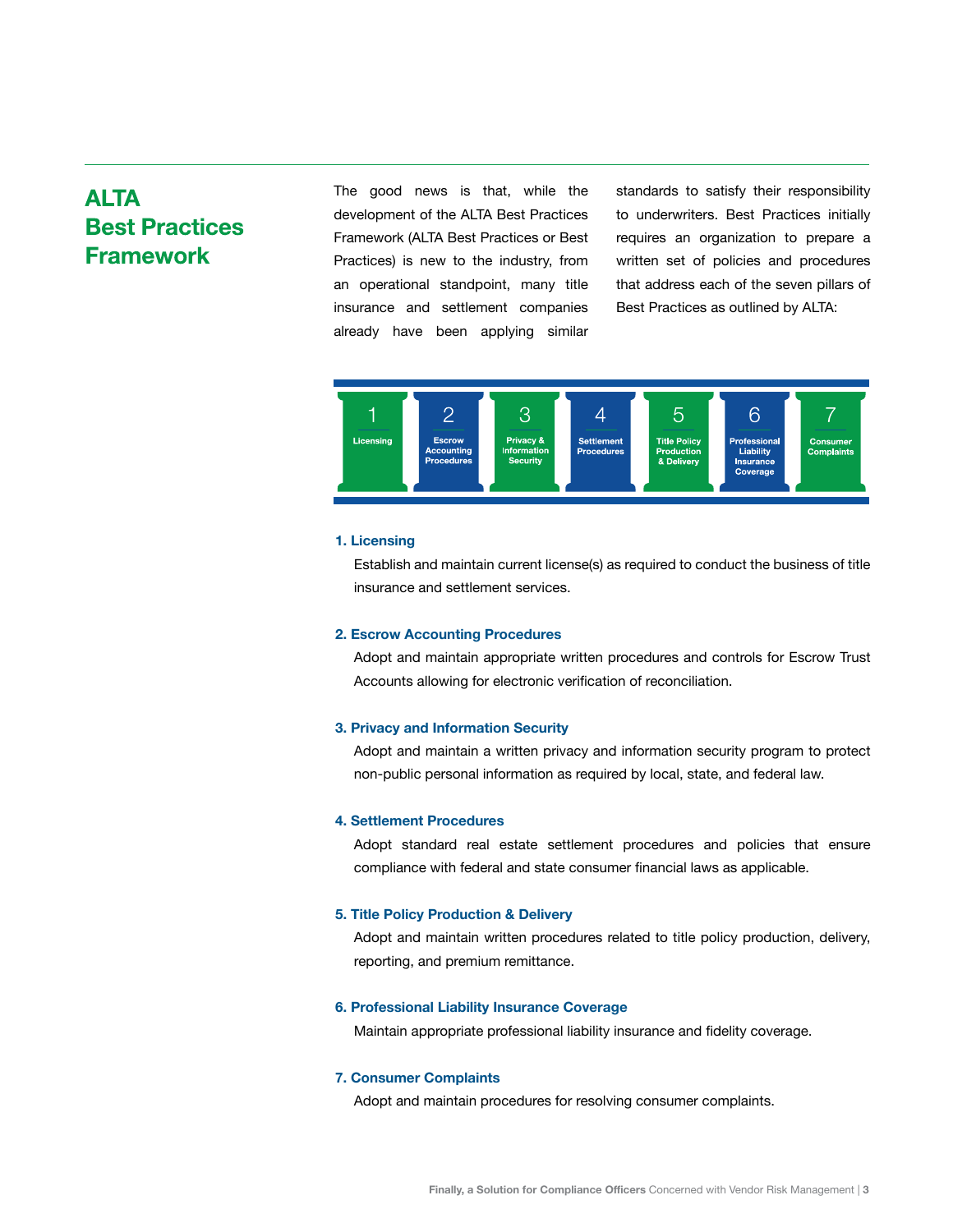# **ALTA Best Practices Framework**

The good news is that, while the development of the ALTA Best Practices Framework (ALTA Best Practices or Best Practices) is new to the industry, from an operational standpoint, many title insurance and settlement companies already have been applying similar

standards to satisfy their responsibility to underwriters. Best Practices initially requires an organization to prepare a written set of policies and procedures that address each of the seven pillars of Best Practices as outlined by ALTA:



#### **1. Licensing**

Establish and maintain current license(s) as required to conduct the business of title insurance and settlement services.

#### **2. Escrow Accounting Procedures**

Adopt and maintain appropriate written procedures and controls for Escrow Trust Accounts allowing for electronic verification of reconciliation.

#### **3. Privacy and Information Security**

Adopt and maintain a written privacy and information security program to protect non-public personal information as required by local, state, and federal law.

#### **4. Settlement Procedures**

Adopt standard real estate settlement procedures and policies that ensure compliance with federal and state consumer financial laws as applicable.

#### **5. Title Policy Production & Delivery**

Adopt and maintain written procedures related to title policy production, delivery, reporting, and premium remittance.

#### **6. Professional Liability Insurance Coverage**

Maintain appropriate professional liability insurance and fidelity coverage.

#### **7. Consumer Complaints**

Adopt and maintain procedures for resolving consumer complaints.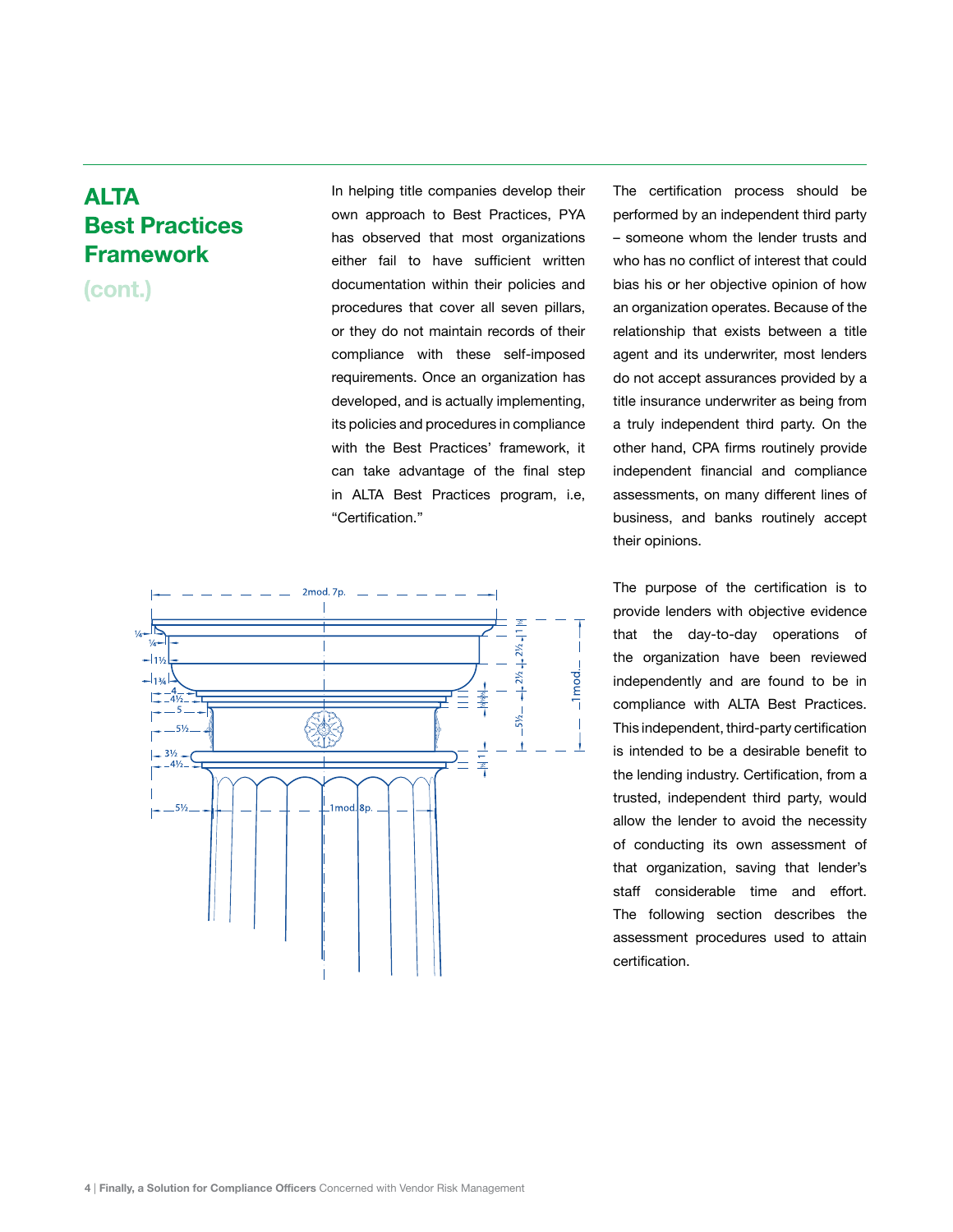## **ALTA Best Practices Framework**

(cont.)

In helping title companies develop their own approach to Best Practices, PYA has observed that most organizations either fail to have sufficient written documentation within their policies and procedures that cover all seven pillars, or they do not maintain records of their compliance with these self-imposed requirements. Once an organization has developed, and is actually implementing, its policies and procedures in compliance with the Best Practices' framework, it can take advantage of the final step in ALTA Best Practices program, i.e, "Certification."



The certification process should be performed by an independent third party – someone whom the lender trusts and who has no conflict of interest that could bias his or her objective opinion of how an organization operates. Because of the relationship that exists between a title agent and its underwriter, most lenders do not accept assurances provided by a title insurance underwriter as being from a truly independent third party. On the other hand, CPA firms routinely provide independent financial and compliance assessments, on many different lines of business, and banks routinely accept their opinions.

The purpose of the certification is to provide lenders with objective evidence that the day-to-day operations of the organization have been reviewed independently and are found to be in compliance with ALTA Best Practices. This independent, third-party certification is intended to be a desirable benefit to the lending industry. Certification, from a trusted, independent third party, would allow the lender to avoid the necessity of conducting its own assessment of that organization, saving that lender's staff considerable time and effort. The following section describes the assessment procedures used to attain certification.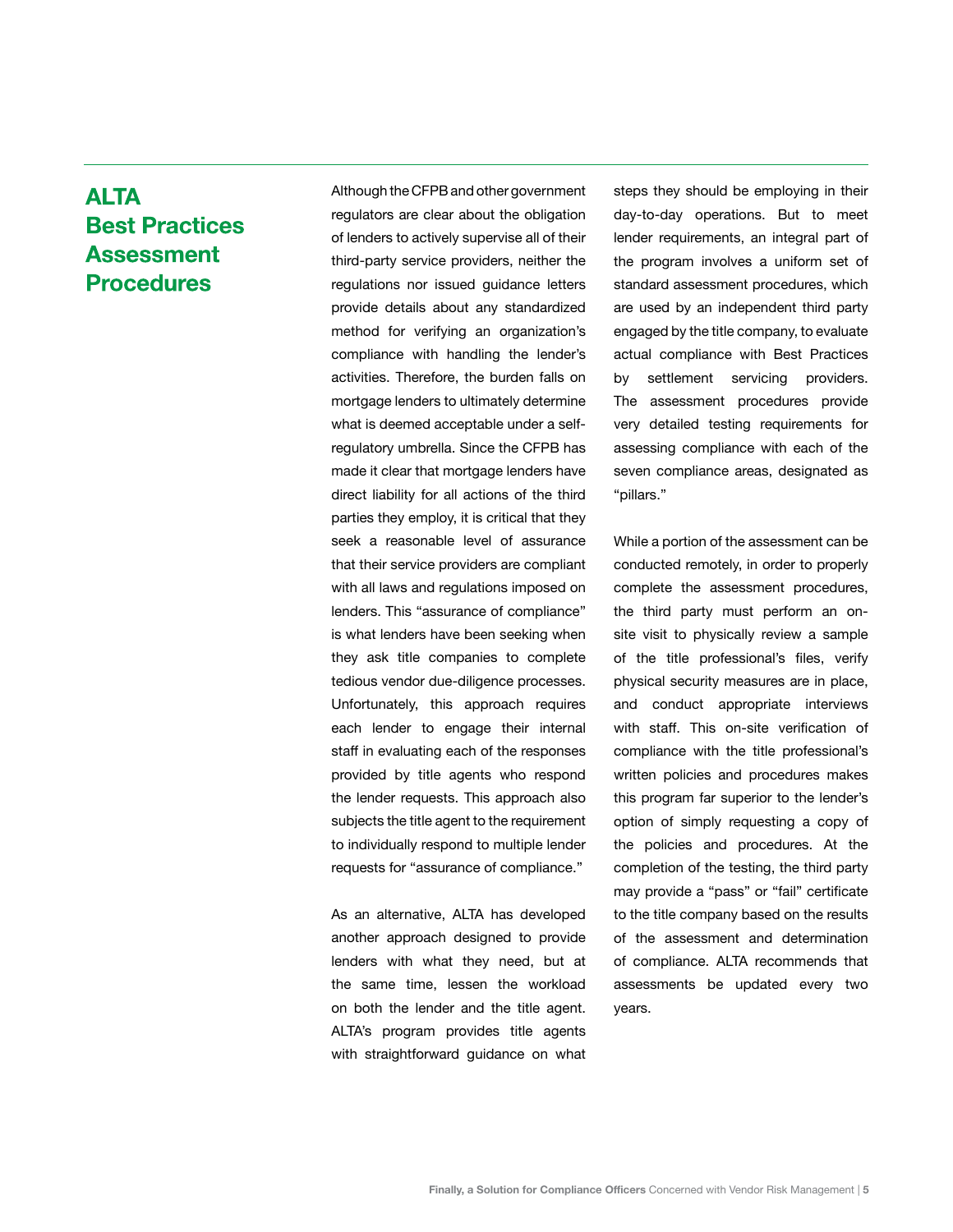## **ALTA Best Practices Assessment Procedures**

Although the CFPB and other government regulators are clear about the obligation of lenders to actively supervise all of their third-party service providers, neither the regulations nor issued guidance letters provide details about any standardized method for verifying an organization's compliance with handling the lender's activities. Therefore, the burden falls on mortgage lenders to ultimately determine what is deemed acceptable under a selfregulatory umbrella. Since the CFPB has made it clear that mortgage lenders have direct liability for all actions of the third parties they employ, it is critical that they seek a reasonable level of assurance that their service providers are compliant with all laws and regulations imposed on lenders. This "assurance of compliance" is what lenders have been seeking when they ask title companies to complete tedious vendor due-diligence processes. Unfortunately, this approach requires each lender to engage their internal staff in evaluating each of the responses provided by title agents who respond the lender requests. This approach also subjects the title agent to the requirement to individually respond to multiple lender requests for "assurance of compliance."

As an alternative, ALTA has developed another approach designed to provide lenders with what they need, but at the same time, lessen the workload on both the lender and the title agent. ALTA's program provides title agents with straightforward guidance on what steps they should be employing in their day-to-day operations. But to meet lender requirements, an integral part of the program involves a uniform set of standard assessment procedures, which are used by an independent third party engaged by the title company, to evaluate actual compliance with Best Practices by settlement servicing providers. The assessment procedures provide very detailed testing requirements for assessing compliance with each of the seven compliance areas, designated as "pillars."

While a portion of the assessment can be conducted remotely, in order to properly complete the assessment procedures, the third party must perform an onsite visit to physically review a sample of the title professional's files, verify physical security measures are in place, and conduct appropriate interviews with staff. This on-site verification of compliance with the title professional's written policies and procedures makes this program far superior to the lender's option of simply requesting a copy of the policies and procedures. At the completion of the testing, the third party may provide a "pass" or "fail" certificate to the title company based on the results of the assessment and determination of compliance. ALTA recommends that assessments be updated every two years.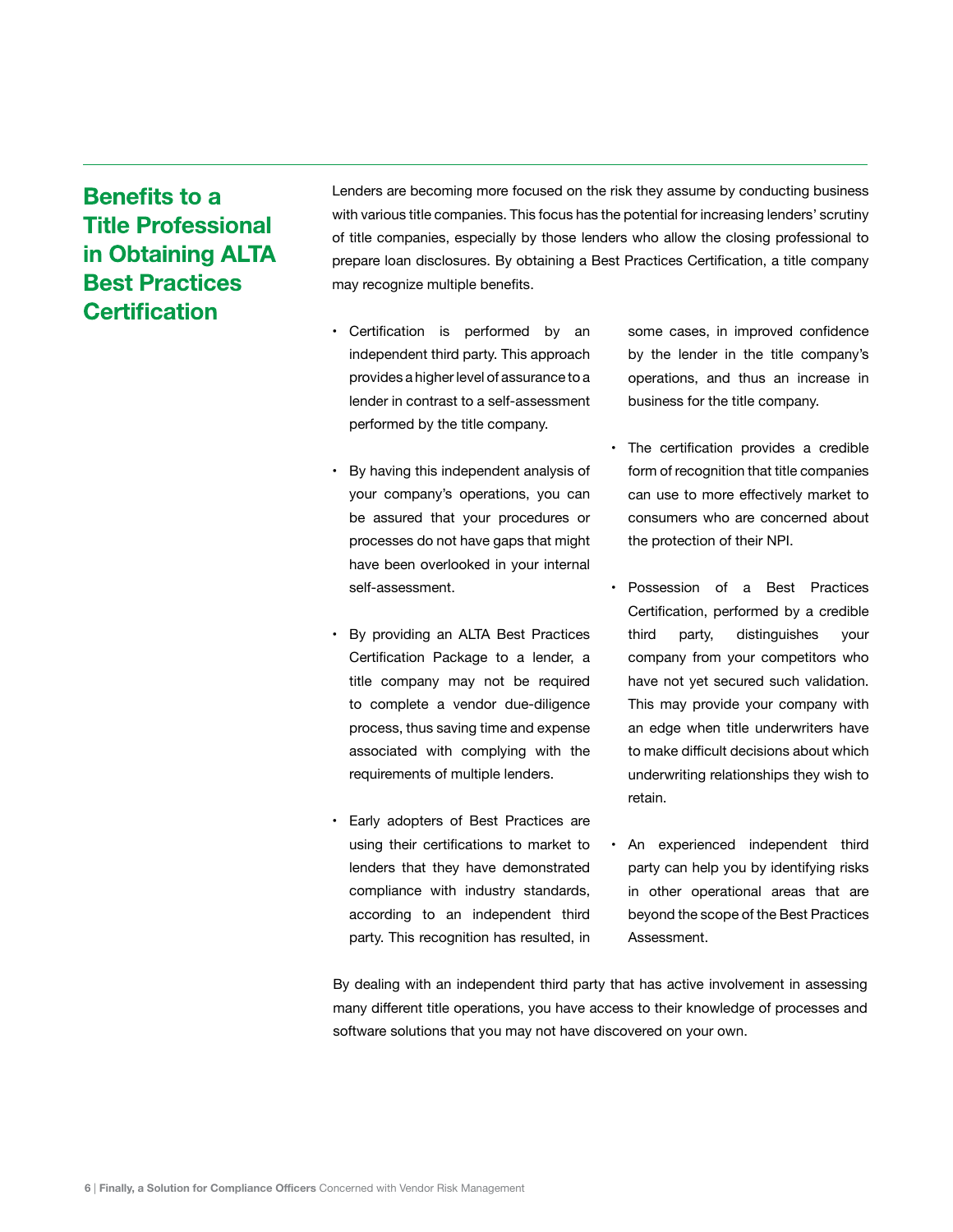# **Benefits to a Title Professional** in Obtaining ALTA **Best Practices Certification**

Lenders are becoming more focused on the risk they assume by conducting business with various title companies. This focus has the potential for increasing lenders' scrutiny of title companies, especially by those lenders who allow the closing professional to prepare loan disclosures. By obtaining a Best Practices Certification, a title company may recognize multiple benefits.

- Certification is performed by an independent third party. This approach provides a higher level of assurance to a lender in contrast to a self-assessment performed by the title company.
- By having this independent analysis of your company's operations, you can be assured that your procedures or processes do not have gaps that might have been overlooked in your internal self-assessment.
- By providing an ALTA Best Practices Certification Package to a lender, a title company may not be required to complete a vendor due-diligence process, thus saving time and expense associated with complying with the requirements of multiple lenders.
- Early adopters of Best Practices are using their certifications to market to lenders that they have demonstrated compliance with industry standards, according to an independent third party. This recognition has resulted, in

some cases, in improved confidence by the lender in the title company's operations, and thus an increase in business for the title company.

- The certification provides a credible form of recognition that title companies can use to more effectively market to consumers who are concerned about the protection of their NPI.
- Possession of a Best Practices Certification, performed by a credible third party, distinguishes your company from your competitors who have not yet secured such validation. This may provide your company with an edge when title underwriters have to make difficult decisions about which underwriting relationships they wish to retain.
- An experienced independent third party can help you by identifying risks in other operational areas that are beyond the scope of the Best Practices Assessment.

By dealing with an independent third party that has active involvement in assessing many different title operations, you have access to their knowledge of processes and software solutions that you may not have discovered on your own.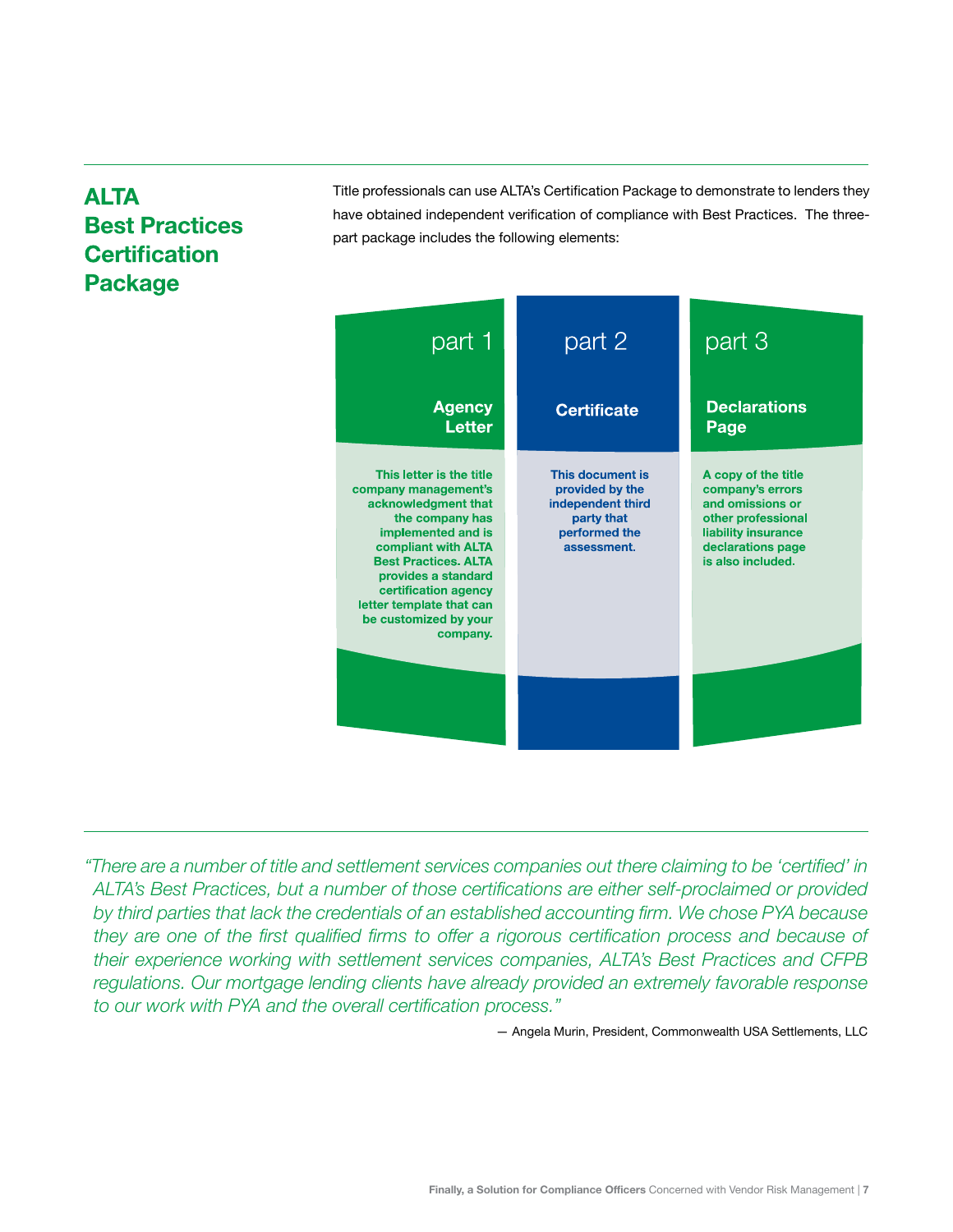# **ALTA Best Practices Certification Package**

Title professionals can use ALTA's Certification Package to demonstrate to lenders they have obtained independent verification of compliance with Best Practices. The threepart package includes the following elements:



*"There are a number of title and settlement services companies out there claiming to be 'certified' in ALTA's Best Practices, but a number of those certifications are either self-proclaimed or provided by third parties that lack the credentials of an established accounting firm. We chose PYA because*  they are one of the first qualified firms to offer a rigorous certification process and because of *their experience working with settlement services companies, ALTA's Best Practices and CFPB regulations. Our mortgage lending clients have already provided an extremely favorable response to our work with PYA and the overall certification process."*

— Angela Murin, President, Commonwealth USA Settlements, LLC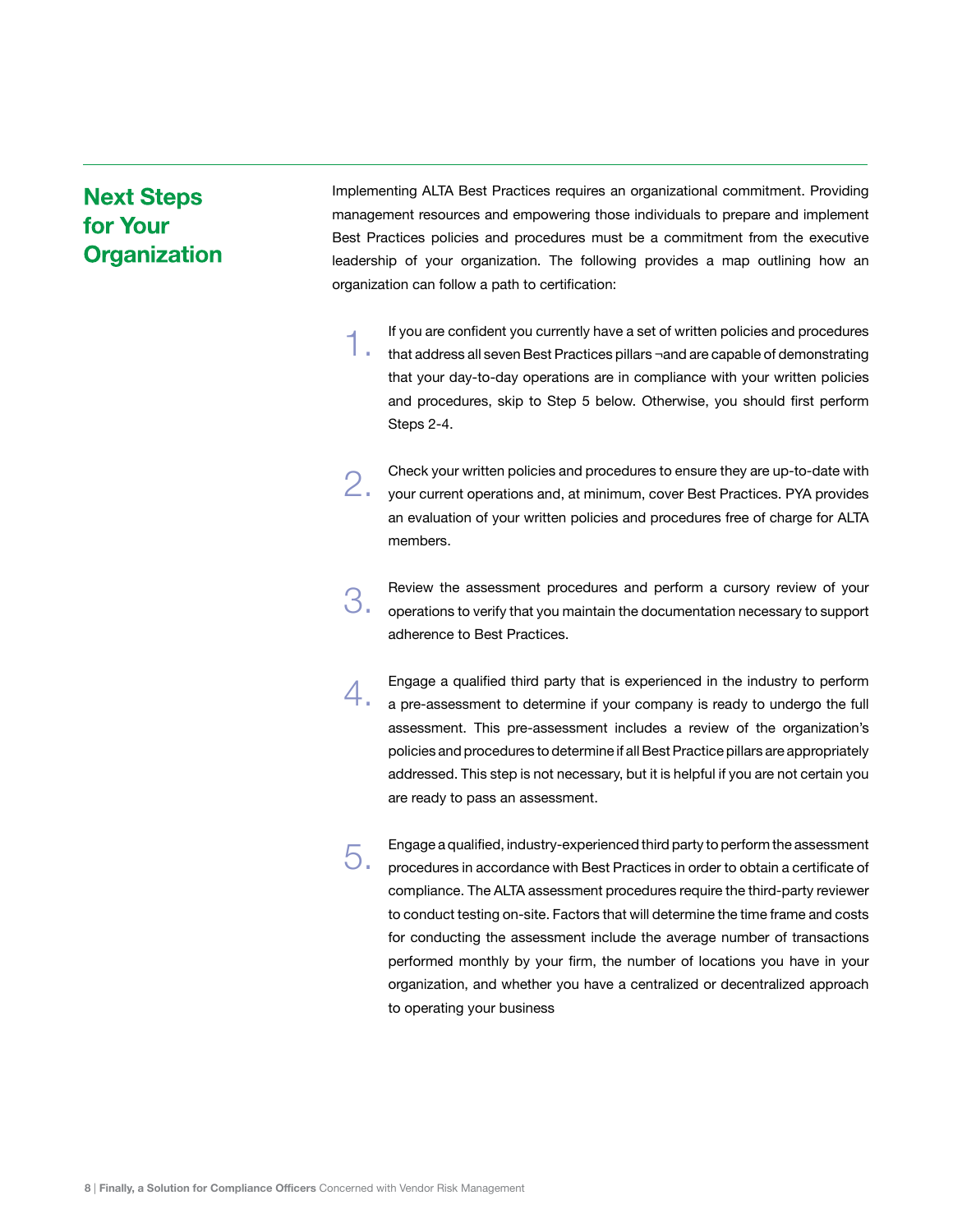### **Next Steps** for Your **Organization**

Implementing ALTA Best Practices requires an organizational commitment. Providing management resources and empowering those individuals to prepare and implement Best Practices policies and procedures must be a commitment from the executive leadership of your organization. The following provides a map outlining how an organization can follow a path to certification:

If you are confident you currently have a set of written policies and procedures that address all seven Best Practices pillars ¬and are capable of demonstrating that your day-to-day operations are in compliance with your written policies and procedures, skip to Step 5 below. Otherwise, you should first perform Steps 2-4. 1.

Check your written policies and procedures to ensure they are up-to-date with your current operations and, at minimum, cover Best Practices. PYA provides an evaluation of your written policies and procedures free of charge for ALTA members. 2.

Review the assessment procedures and perform a cursory review of your operations to verify that you maintain the documentation necessary to support adherence to Best Practices. 3.

Engage a qualified third party that is experienced in the industry to perform a pre-assessment to determine if your company is ready to undergo the full assessment. This pre-assessment includes a review of the organization's policies and procedures to determine if all Best Practice pillars are appropriately addressed. This step is not necessary, but it is helpful if you are not certain you are ready to pass an assessment. 4.

Engage a qualified, industry-experienced third party to perform the assessment procedures in accordance with Best Practices in order to obtain a certificate of compliance. The ALTA assessment procedures require the third-party reviewer to conduct testing on-site. Factors that will determine the time frame and costs for conducting the assessment include the average number of transactions performed monthly by your firm, the number of locations you have in your organization, and whether you have a centralized or decentralized approach to operating your business 5.